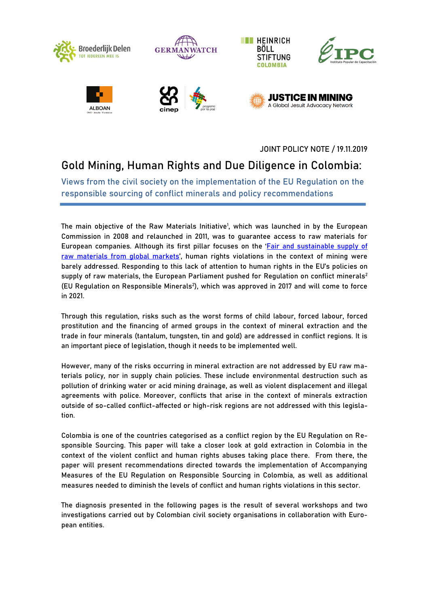

JOINT POLICY NOTE / 19.11.2019

# **Gold Mining, Human Rights and Due Diligence in Colombia:**

**Views from the civil society on the implementation of the EU Regulation on the responsible sourcing of conflict minerals and policy recommendations** 

The main objective of the Raw Materials Initiative<sup>1</sup>, which was launched in by the European Commission in 2008 and relaunched in 2011, was to guarantee access to raw materials for European companies. Although its first pillar focuses on the 'Fair and sustainable supply of [raw materials from global markets](https://ec.europa.eu/growth/sectors/raw-materials/policy-strategy/sustainable-supply-global_en)', human rights violations in the context of mining were barely addressed. Responding to this lack of attention to human rights in the EU's policies on supply of raw materials, the European Parliament pushed for Regulation on conflict minerals<sup>2</sup> (EU Regulation on Responsible Minerals<sup>2</sup>), which was approved in 2017 and will come to force in 2021.

Through this regulation, risks such as the worst forms of child labour, forced labour, forced prostitution and the financing of armed groups in the context of mineral extraction and the trade in four minerals (tantalum, tungsten, tin and gold) are addressed in conflict regions. It is an important piece of legislation, though it needs to be implemented well.

However, many of the risks occurring in mineral extraction are not addressed by EU raw materials policy, nor in supply chain policies. These include environmental destruction such as pollution of drinking water or acid mining drainage, as well as violent displacement and illegal agreements with police. Moreover, conflicts that arise in the context of minerals extraction outside of so-called conflict-affected or high-risk regions are not addressed with this legislation.

Colombia is one of the countries categorised as a conflict region by the EU Regulation on Responsible Sourcing. This paper will take a closer look at gold extraction in Colombia in the context of the violent conflict and human rights abuses taking place there. From there, the paper will present recommendations directed towards the implementation of Accompanying Measures of the EU Regulation on Responsible Sourcing in Colombia, as well as additional measures needed to diminish the levels of conflict and human rights violations in this sector.

The diagnosis presented in the following pages is the result of several workshops and two investigations carried out by Colombian civil society organisations in collaboration with European entities.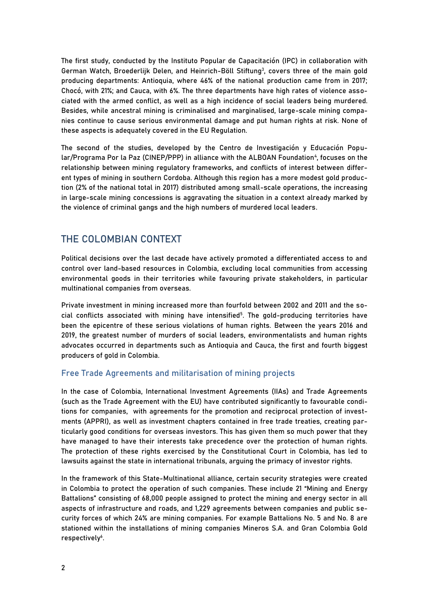The first study, conducted by the Instituto Popular de Capacitación (IPC) in collaboration with German Watch, Broederlijk Delen, and Heinrich-Böll Stiftung<sup>3</sup>, covers three of the main gold producing departments: Antioquia, where 46% of the national production came from in 2017; Chocó, with 21%; and Cauca, with 6%. The three departments have high rates of violence associated with the armed conflict, as well as a high incidence of social leaders being murdered. Besides, while ancestral mining is criminalised and marginalised, large-scale mining companies continue to cause serious environmental damage and put human rights at risk. None of these aspects is adequately covered in the EU Regulation.

The second of the studies, developed by the Centro de Investigación y Educación Popular/Programa Por la Paz (CINEP/PPP) in alliance with the ALBOAN Foundation<sup>4</sup>, focuses on the relationship between mining regulatory frameworks, and conflicts of interest between different types of mining in southern Cordoba. Although this region has a more modest gold production (2% of the national total in 2017) distributed among small-scale operations, the increasing in large-scale mining concessions is aggravating the situation in a context already marked by the violence of criminal gangs and the high numbers of murdered local leaders.

## **THE COLOMBIAN CONTEXT**

Political decisions over the last decade have actively promoted a differentiated access to and control over land-based resources in Colombia, excluding local communities from accessing environmental goods in their territories while favouring private stakeholders, in particular multinational companies from overseas.

Private investment in mining increased more than fourfold between 2002 and 2011 and the social conflicts associated with mining have intensified<sup>5</sup>. The gold-producing territories have been the epicentre of these serious violations of human rights. Between the years 2016 and 2019, the greatest number of murders of social leaders, environmentalists and human rights advocates occurred in departments such as Antioquia and Cauca, the first and fourth biggest producers of gold in Colombia.

#### **Free Trade Agreements and militarisation of mining projects**

In the case of Colombia, International Investment Agreements (IIAs) and Trade Agreements (such as the Trade Agreement with the EU) have contributed significantly to favourable conditions for companies, with agreements for the promotion and reciprocal protection of investments (APPRI), as well as investment chapters contained in free trade treaties, creating particularly good conditions for overseas investors. This has given them so much power that they have managed to have their interests take precedence over the protection of human rights. The protection of these rights exercised by the Constitutional Court in Colombia, has led to lawsuits against the state in international tribunals, arguing the primacy of investor rights.

In the framework of this State-Multinational alliance, certain security strategies were created in Colombia to protect the operation of such companies. These include 21 "Mining and Energy Battalions" consisting of 68,000 people assigned to protect the mining and energy sector in all aspects of infrastructure and roads, and 1,229 agreements between companies and public security forces of which 24% are mining companies. For example Battalions No. 5 and No. 8 are stationed within the installations of mining companies Mineros S.A. and Gran Colombia Gold respectively<sup>6</sup>.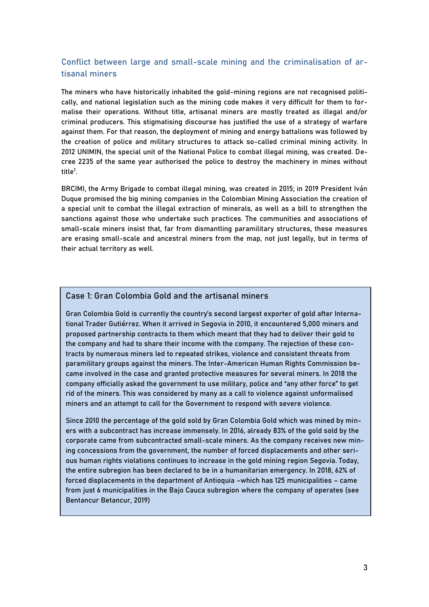## **Conflict between large and small-scale mining and the criminalisation of artisanal miners**

The miners who have historically inhabited the gold-mining regions are not recognised politically, and national legislation such as the mining code makes it very difficult for them to formalise their operations. Without title, artisanal miners are mostly treated as illegal and/or criminal producers. This stigmatising discourse has justified the use of a strategy of warfare against them. For that reason, the deployment of mining and energy battalions was followed by the creation of police and military structures to attack so-called criminal mining activity. In 2012 UNIMIN, the special unit of the National Police to combat illegal mining, was created. Decree 2235 of the same year authorised the police to destroy the machinery in mines without title<sup>7</sup> .

BRCIMI, the Army Brigade to combat illegal mining, was created in 2015; in 2019 President Iván Duque promised the big mining companies in the Colombian Mining Association the creation of a special unit to combat the illegal extraction of minerals, as well as a bill to strengthen the sanctions against those who undertake such practices. The communities and associations of small-scale miners insist that, far from dismantling paramilitary structures, these measures are erasing small-scale and ancestral miners from the map, not just legally, but in terms of their actual territory as well.

## **Case 1: Gran Colombia Gold and the artisanal miners**

Gran Colombia Gold is currently the country's second largest exporter of gold after International Trader Gutiérrez. When it arrived in Segovia in 2010, it encountered 5,000 miners and proposed partnership contracts to them which meant that they had to deliver their gold to the company and had to share their income with the company. The rejection of these contracts by numerous miners led to repeated strikes, violence and consistent threats from paramilitary groups against the miners. The Inter-American Human Rights Commission became involved in the case and granted protective measures for several miners. In 2018 the company officially asked the government to use military, police and "any other force" to get rid of the miners. This was considered by many as a call to violence against unformalised miners and an attempt to call for the Government to respond with severe violence.

Since 2010 the percentage of the gold sold by Gran Colombia Gold which was mined by miners with a subcontract has increase immensely. In 2016, already 83% of the gold sold by the corporate came from subcontracted small-scale miners. As the company receives new mining concessions from the government, the number of forced displacements and other serious human rights violations continues to increase in the gold mining region Segovia. Today, the entire subregion has been declared to be in a humanitarian emergency. In 2018, 62% of forced displacements in the department of Antioquia –which has 125 municipalities – came from just 6 municipalities in the Bajo Cauca subregion where the company of operates (see Bentancur Betancur, 2019)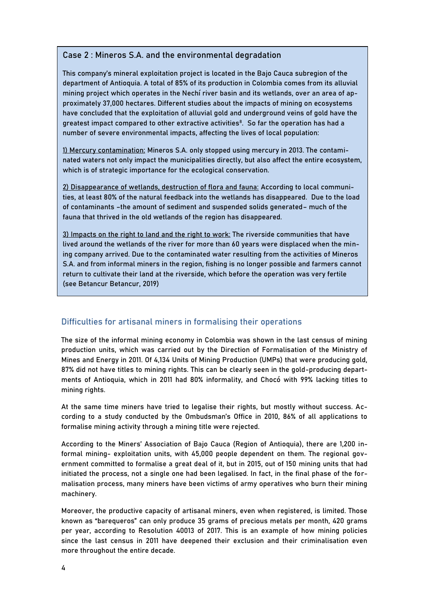### **Case 2 : Mineros S.A. and the environmental degradation**

This company's mineral exploitation project is located in the Bajo Cauca subregion of the department of Antioquia. A total of 85% of its production in Colombia comes from its alluvial mining project which operates in the Nechí river basin and its wetlands, over an area of approximately 37,000 hectares. Different studies about the impacts of mining on ecosystems have concluded that the exploitation of alluvial gold and underground veins of gold have the greatest impact compared to other extractive activities $^8$ . So far the operation has had a number of severe environmental impacts, affecting the lives of local population:

1) Mercury contamination: Mineros S.A. only stopped using mercury in 2013. The contaminated waters not only impact the municipalities directly, but also affect the entire ecosystem, which is of strategic importance for the ecological conservation.

2) Disappearance of wetlands, destruction of flora and fauna: According to local communities, at least 80% of the natural feedback into the wetlands has disappeared. Due to the load of contaminants –the amount of sediment and suspended solids generated– much of the fauna that thrived in the old wetlands of the region has disappeared.

3) Impacts on the right to land and the right to work: The riverside communities that have lived around the wetlands of the river for more than 60 years were displaced when the mining company arrived. Due to the contaminated water resulting from the activities of Mineros S.A. and from informal miners in the region, fishing is no longer possible and farmers cannot return to cultivate their land at the riverside, which before the operation was very fertile (see Betancur Betancur, 2019)

## **Difficulties for artisanal miners in formalising their operations**

The size of the informal mining economy in Colombia was shown in the last census of mining production units, which was carried out by the Direction of Formalisation of the Ministry of Mines and Energy in 2011. Of 4,134 Units of Mining Production (UMPs) that were producing gold, 87% did not have titles to mining rights. This can be clearly seen in the gold-producing departments of Antioquia, which in 2011 had 80% informality, and Chocó with 99% lacking titles to mining rights.

At the same time miners have tried to legalise their rights, but mostly without success. According to a study conducted by the Ombudsman's Office in 2010, 86% of all applications to formalise mining activity through a mining title were rejected.

According to the Miners' Association of Bajo Cauca (Region of Antioquia), there are 1,200 informal mining- exploitation units, with 45,000 people dependent on them. The regional government committed to formalise a great deal of it, but in 2015, out of 150 mining units that had initiated the process, not a single one had been legalised. In fact, in the final phase of the formalisation process, many miners have been victims of army operatives who burn their mining machinery.

Moreover, the productive capacity of artisanal miners, even when registered, is limited. Those known as "barequeros" can only produce 35 grams of precious metals per month, 420 grams per year, according to Resolution 40013 of 2017. This is an example of how mining policies since the last census in 2011 have deepened their exclusion and their criminalisation even more throughout the entire decade.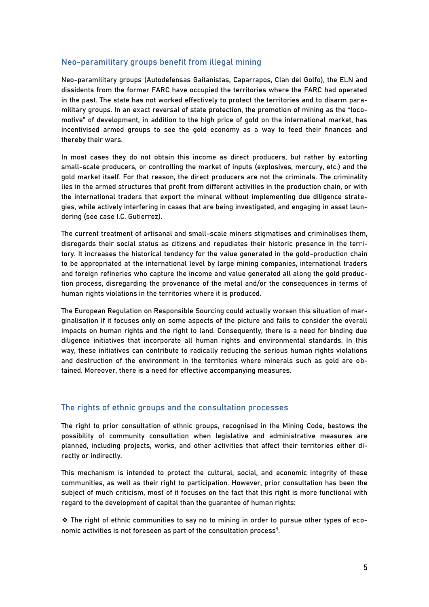### **Neo-paramilitary groups benefit from illegal mining**

Neo-paramilitary groups (Autodefensas Gaitanistas, Caparrapos, Clan del Golfo), the ELN and dissidents from the former FARC have occupied the territories where the FARC had operated in the past. The state has not worked effectively to protect the territories and to disarm paramilitary groups. In an exact reversal of state protection, the promotion of mining as the "locomotive" of development, in addition to the high price of gold on the international market, has incentivised armed groups to see the gold economy as a way to feed their finances and thereby their wars.

In most cases they do not obtain this income as direct producers, but rather by extorting small-scale producers, or controlling the market of inputs (explosives, mercury, etc.) and the gold market itself. For that reason, the direct producers are not the criminals. The criminality lies in the armed structures that profit from different activities in the production chain, or with the international traders that export the mineral without implementing due diligence strategies, while actively interfering in cases that are being investigated, and engaging in asset laundering (see case I.C. Gutierrez).

The current treatment of artisanal and small-scale miners stigmatises and criminalises them, disregards their social status as citizens and repudiates their historic presence in the territory. It increases the historical tendency for the value generated in the gold-production chain to be appropriated at the international level by large mining companies, international traders and foreign refineries who capture the income and value generated all along the gold production process, disregarding the provenance of the metal and/or the consequences in terms of human rights violations in the territories where it is produced.

The European Regulation on Responsible Sourcing could actually worsen this situation of marginalisation if it focuses only on some aspects of the picture and fails to consider the overall impacts on human rights and the right to land. Consequently, there is a need for binding due diligence initiatives that incorporate all human rights and environmental standards. In this way, these initiatives can contribute to radically reducing the serious human rights violations and destruction of the environment in the territories where minerals such as gold are obtained. Moreover, there is a need for effective accompanying measures.

### **The rights of ethnic groups and the consultation processes**

The right to prior consultation of ethnic groups, recognised in the Mining Code, bestows the possibility of community consultation when legislative and administrative measures are planned, including projects, works, and other activities that affect their territories either directly or indirectly.

This mechanism is intended to protect the cultural, social, and economic integrity of these communities, as well as their right to participation. However, prior consultation has been the subject of much criticism, most of it focuses on the fact that this right is more functional with regard to the development of capital than the guarantee of human rights:

❖ The right of ethnic communities to say no to mining in order to pursue other types of economic activities is not foreseen as part of the consultation process<sup>9</sup>.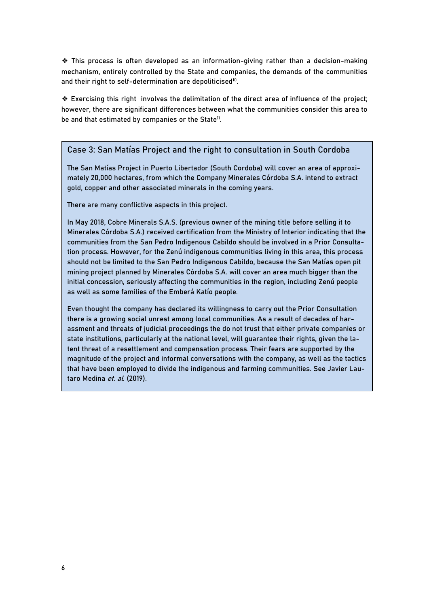❖ This process is often developed as an information-giving rather than a decision-making mechanism, entirely controlled by the State and companies, the demands of the communities and their right to self-determination are depoliticised<sup>10</sup>.

❖ Exercising this right involves the delimitation of the direct area of influence of the project; however, there are significant differences between what the communities consider this area to be and that estimated by companies or the State<sup>11</sup>.

#### **Case 3: San Matías Project and the right to consultation in South Cordoba**

The San Matías Project in Puerto Libertador (South Cordoba) will cover an area of approximately 20,000 hectares, from which the Company Minerales Córdoba S.A. intend to extract gold, copper and other associated minerals in the coming years.

There are many conflictive aspects in this project.

In May 2018, Cobre Minerals S.A.S. (previous owner of the mining title before selling it to Minerales Córdoba S.A.) received certification from the Ministry of Interior indicating that the communities from the San Pedro Indigenous Cabildo should be involved in a Prior Consultation process. However, for the Zenú indigenous communities living in this area, this process should not be limited to the San Pedro Indigenous Cabildo, because the San Matías open pit mining project planned by Minerales Córdoba S.A. will cover an area much bigger than the initial concession, seriously affecting the communities in the region, including Zenú people as well as some families of the Emberá Katío people.

Even thought the company has declared its willingness to carry out the Prior Consultation there is a growing social unrest among local communities. As a result of decades of harassment and threats of judicial proceedings the do not trust that either private companies or state institutions, particularly at the national level, will guarantee their rights, given the latent threat of a resettlement and compensation process. Their fears are supported by the magnitude of the project and informal conversations with the company, as well as the tactics that have been employed to divide the indigenous and farming communities. See Javier Lautaro Medina et. al. (2019).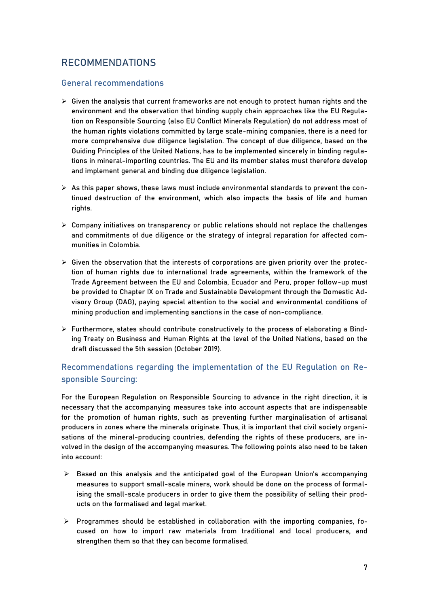## **RECOMMENDATIONS**

## **General recommendations**

- $\triangleright$  Given the analysis that current frameworks are not enough to protect human rights and the environment and the observation that binding supply chain approaches like the EU Regulation on Responsible Sourcing (also EU Conflict Minerals Regulation) do not address most of the human rights violations committed by large scale-mining companies, there is a need for more comprehensive due diligence legislation. The concept of due diligence, based on the Guiding Principles of the United Nations, has to be implemented sincerely in binding regulations in mineral-importing countries. The EU and its member states must therefore develop and implement general and binding due diligence legislation.
- $\triangleright$  As this paper shows, these laws must include environmental standards to prevent the continued destruction of the environment, which also impacts the basis of life and human rights.
- $\triangleright$  Company initiatives on transparency or public relations should not replace the challenges and commitments of due diligence or the strategy of integral reparation for affected communities in Colombia.
- $\triangleright$  Given the observation that the interests of corporations are given priority over the protection of human rights due to international trade agreements, within the framework of the Trade Agreement between the EU and Colombia, Ecuador and Peru, proper follow-up must be provided to Chapter IX on Trade and Sustainable Development through the Domestic Advisory Group (DAG), paying special attention to the social and environmental conditions of mining production and implementing sanctions in the case of non-compliance.
- $\triangleright$  Furthermore, states should contribute constructively to the process of elaborating a Binding Treaty on Business and Human Rights at the level of the United Nations, based on the draft discussed the 5th session (October 2019).

## **Recommendations regarding the implementation of the EU Regulation on Responsible Sourcing:**

For the **European Regulation on Responsible Sourcing** to advance in the right direction, it is necessary that the accompanying measures take into account aspects that are indispensable for the promotion of human rights, such as preventing further marginalisation of artisanal producers in zones where the minerals originate. Thus, it is important that civil society organisations of the mineral-producing countries, defending the rights of these producers, are involved in the design of the accompanying measures. The following points also need to be taken into account:

- $\triangleright$  Based on this analysis and the anticipated goal of the European Union's accompanying measures to support small-scale miners, work should be done on the process of formalising the small-scale producers in order to give them the possibility of selling their products on the formalised and legal market.
- $\triangleright$  Programmes should be established in collaboration with the importing companies, focused on how to import raw materials from traditional and local producers, and strengthen them so that they can become formalised.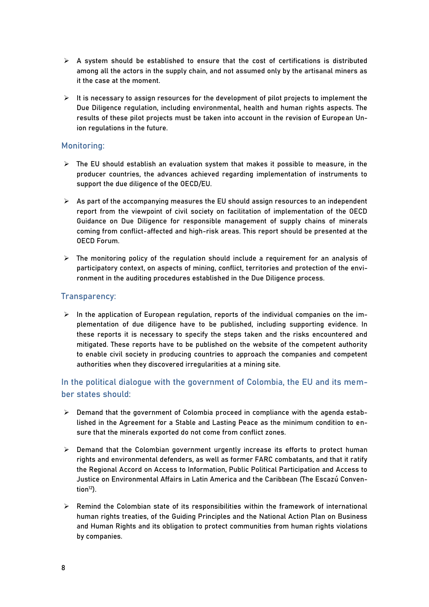- $\triangleright$  A system should be established to ensure that the cost of certifications is distributed among all the actors in the supply chain, and not assumed only by the artisanal miners as it the case at the moment.
- $\triangleright$  It is necessary to assign resources for the development of pilot projects to implement the Due Diligence regulation, including environmental, health and human rights aspects. The results of these pilot projects must be taken into account in the revision of European Union regulations in the future.

### **Monitoring:**

- $\triangleright$  The EU should establish an evaluation system that makes it possible to measure, in the producer countries, the advances achieved regarding implementation of instruments to support the due diligence of the OECD/EU.
- $\triangleright$  As part of the accompanying measures the EU should assign resources to an independent report from the viewpoint of civil society on facilitation of implementation of the OECD Guidance on Due Diligence for responsible management of supply chains of minerals coming from conflict-affected and high-risk areas. This report should be presented at the OECD Forum.
- $\triangleright$  The monitoring policy of the regulation should include a requirement for an analysis of participatory context, on aspects of mining, conflict, territories and protection of the environment in the auditing procedures established in the Due Diligence process.

## **Transparency:**

 $\triangleright$  In the application of European regulation, reports of the individual companies on the implementation of due diligence have to be published, including supporting evidence. In these reports it is necessary to specify the steps taken and the risks encountered and mitigated. These reports have to be published on the website of the competent authority to enable civil society in producing countries to approach the companies and competent authorities when they discovered irregularities at a mining site.

**In the political dialogue with the government of Colombia, the EU and its member states should:**

- $\triangleright$  Demand that the government of Colombia proceed in compliance with the agenda established in the Agreement for a Stable and Lasting Peace as the minimum condition to ensure that the minerals exported do not come from conflict zones.
- $\triangleright$  Demand that the Colombian government urgently increase its efforts to protect human rights and environmental defenders, as well as former FARC combatants, and that it ratify the Regional Accord on Access to Information, Public Political Participation and Access to Justice on Environmental Affairs in Latin America and the Caribbean (The Escazú Convention $12$ ).
- $\triangleright$  Remind the Colombian state of its responsibilities within the framework of international human rights treaties, of the Guiding Principles and the National Action Plan on Business and Human Rights and its obligation to protect communities from human rights violations by companies.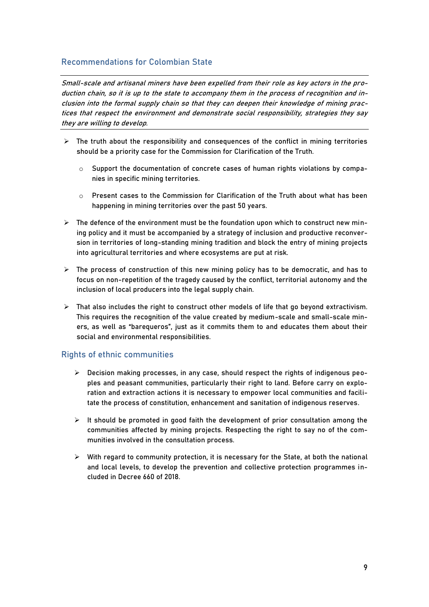## **Recommendations for Colombian State**

Small-scale and artisanal miners have been expelled from their role as key actors in the production chain, so it is up to the state to accompany them in the process of recognition and inclusion into the formal supply chain so that they can deepen their knowledge of mining practices that respect the environment and demonstrate social responsibility, strategies they say they are willing to develop.

- $\triangleright$  The truth about the responsibility and consequences of the conflict in mining territories should be a priority case for the Commission for Clarification of the Truth.
	- $\circ$  Support the documentation of concrete cases of human rights violations by companies in specific mining territories.
	- $\circ$  Present cases to the Commission for Clarification of the Truth about what has been happening in mining territories over the past 50 years.
- $\triangleright$  The defence of the environment must be the foundation upon which to construct new mining policy and it must be accompanied by a strategy of inclusion and productive reconversion in territories of long-standing mining tradition and block the entry of mining projects into agricultural territories and where ecosystems are put at risk.
- $\triangleright$  The process of construction of this new mining policy has to be democratic, and has to focus on non-repetition of the tragedy caused by the conflict, territorial autonomy and the inclusion of local producers into the legal supply chain.
- $\triangleright$  That also includes the right to construct other models of life that go beyond extractivism. This requires the recognition of the value created by medium-scale and small-scale miners, as well as "barequeros", just as it commits them to and educates them about their social and environmental responsibilities.

### **Rights of ethnic communities**

- Decision making processes, in any case, should respect the rights of indigenous peoples and peasant communities, particularly their right to land. Before carry on exploration and extraction actions it is necessary to empower local communities and facilitate the process of constitution, enhancement and sanitation of indigenous reserves.
- $\triangleright$  It should be promoted in good faith the development of prior consultation among the communities affected by mining projects. Respecting the right to say no of the communities involved in the consultation process.
- $\triangleright$  With regard to community protection, it is necessary for the State, at both the national and local levels, to develop the prevention and collective protection programmes included in Decree 660 of 2018.